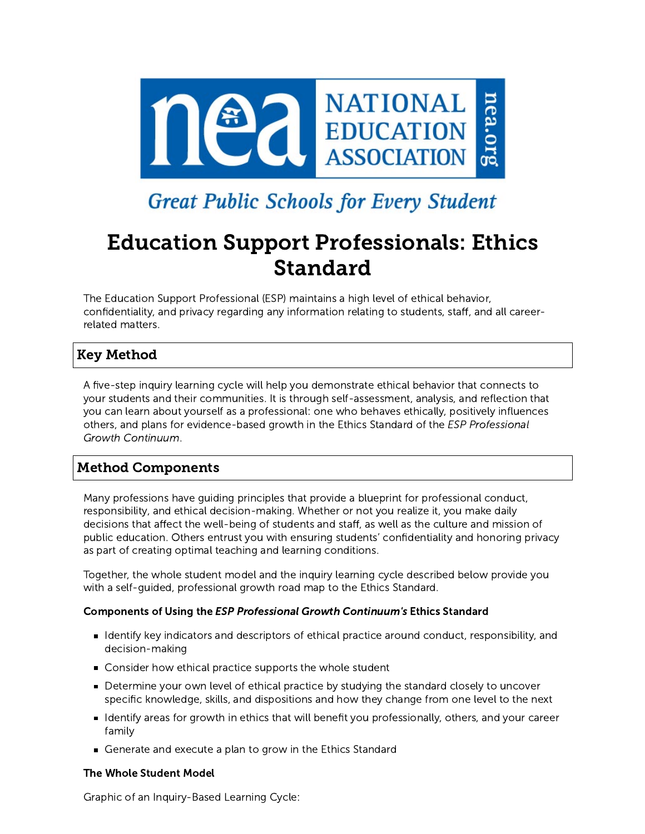

# **Great Public Schools for Every Student**

# Education Support Professionals: Ethics Standard

The Education Support Professional (ESP) maintains a high level of ethical behavior, confidentiality, and privacy regarding any information relating to students, staff, and all careerrelated matters.

# Key Method

A five-step inquiry learning cycle will help you demonstrate ethical behavior that connects to your students and their communities. It is through self-assessment, analysis, and reflection that you can learn about yourself as a professional: one who behaves ethically, positively influences others, and plans for evidence-based growth in the Ethics Standard of the ESP Professional Growth Continuum.

# Method Components

Many professions have guiding principles that provide a blueprint for professional conduct, responsibility, and ethical decision-making. Whether or not you realize it, you make daily decisions that affect the well-being of students and staff, as well as the culture and mission of public education. Others entrust you with ensuring students' confidentiality and honoring privacy as part of creating optimal teaching and learning conditions.

Together, the whole student model and the inquiry learning cycle described below provide you with a self-guided, professional growth road map to the Ethics Standard.

# Components of Using the ESP Professional Growth Continuum's Ethics Standard

- Identify key indicators and descriptors of ethical practice around conduct, responsibility, and decision-making
- Consider how ethical practice supports the whole student
- **Determine your own level of ethical practice by studying the standard closely to uncover** specific knowledge, skills, and dispositions and how they change from one level to the next
- Identify areas for growth in ethics that will benefit you professionally, others, and your career family
- Generate and execute a plan to grow in the Ethics Standard

# The Whole Student Model

Graphic of an Inquiry-Based Learning Cycle: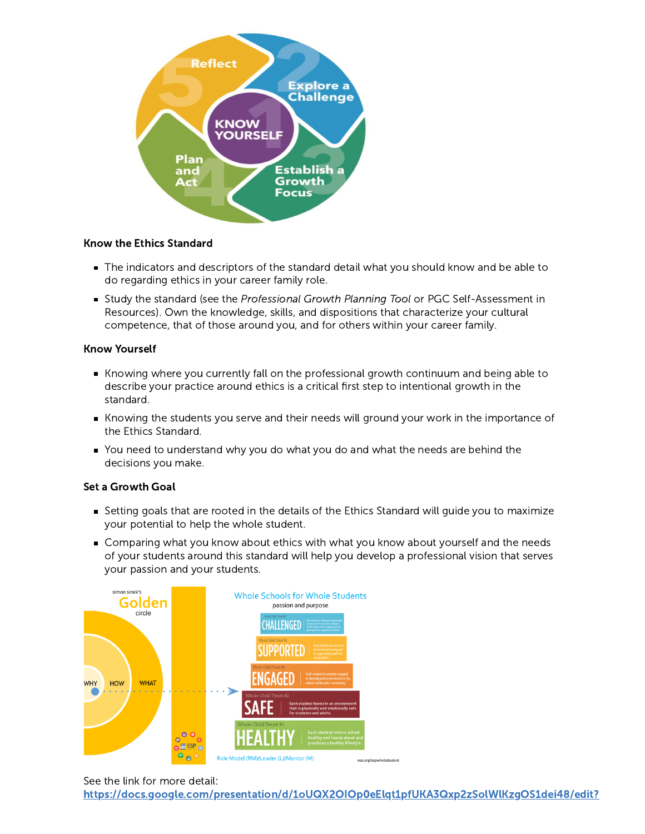

## Know the Ethics Standard

- The indicators and descriptors of the standard detail what you should know and be able to do regarding ethics in your career family role.
- Study the standard (see the Professional Growth Planning Tool or PGC Self-Assessment in Resources). Own the knowledge, skills, and dispositions that characterize your cultural competence, that of those around you, and for others within your career family.

#### Know Yourself

- Knowing where you currently fall on the professional growth continuum and being able to describe your practice around ethics is a critical first step to intentional growth in the standard.
- Knowing the students you serve and their needs will ground your work in the importance of the Ethics Standard.
- You need to understand why you do what you do and what the needs are behind the decisions you make.

## Set a Growth Goal

- Setting goals that are rooted in the details of the Ethics Standard will guide you to maximize your potential to help the whole student.
- Comparing what you know about ethics with what you know about yourself and the needs of your students around this standard will help you develop a professional vision that serves your passion and your students.



See the link for more detail:

[https://docs.google.com/presentation/d/1oUQX2OIOp0eElqt1pfUKA3Qxp2zSolWlKzgOS1dei48/edit?](https://docs.google.com/presentation/d/1oUQX2OIOp0eElqt1pfUKA3Qxp2zSolWlKzgOS1dei48/edit?usp=sharing)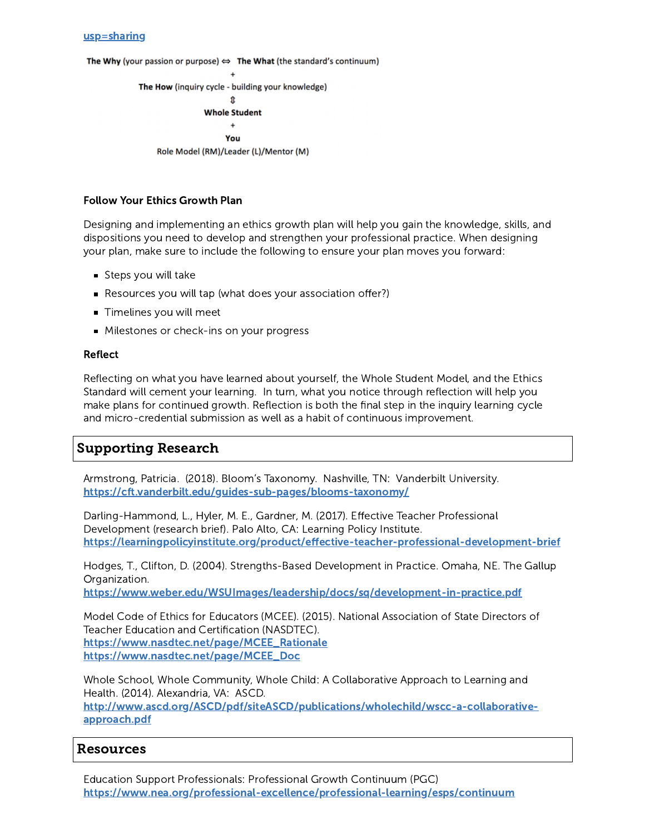#### [usp=sharing](https://docs.google.com/presentation/d/1oUQX2OIOp0eElqt1pfUKA3Qxp2zSolWlKzgOS1dei48/edit?usp=sharing)

The Why (your passion or purpose)  $\Leftrightarrow$  The What (the standard's continuum)

 $\Delta$ The How (inquiry cycle - building your knowledge) ⇑ **Whole Student**  $\ddot{}$ You Role Model (RM)/Leader (L)/Mentor (M)

### Follow Your Ethics Growth Plan

Designing and implementing an ethics growth plan will help you gain the knowledge, skills, and dispositions you need to develop and strengthen your professional practice. When designing your plan, make sure to include the following to ensure your plan moves you forward:

- Steps you will take
- Resources you will tap (what does your association offer?)
- **Timelines you will meet**
- **Milestones or check-ins on your progress**

#### Reflect

Reflecting on what you have learned about yourself, the Whole Student Model, and the Ethics Standard will cement your learning. In turn, what you notice through reflection will help you make plans for continued growth. Reflection is both the final step in the inquiry learning cycle and micro-credential submission as well as a habit of continuous improvement.

# Supporting Research

Armstrong, Patricia. (2018). Bloom's Taxonomy. Nashville, TN: Vanderbilt University. <https://cft.vanderbilt.edu/guides-sub-pages/blooms-taxonomy/>

Darling-Hammond, L., Hyler, M. E., Gardner, M. (2017). Effective Teacher Professional Development (research brief). Palo Alto, CA: Learning Policy Institute. <https://learningpolicyinstitute.org/product/effective-teacher-professional-development-brief>

Hodges, T., Clifton, D. (2004). Strengths-Based Development in Practice. Omaha, NE. The Gallup Organization.

<https://www.weber.edu/WSUImages/leadership/docs/sq/development-in-practice.pdf>

Model Code of Ethics for Educators (MCEE). (2015). National Association of State Directors of Teacher Education and Certification (NASDTEC). [https://www.nasdtec.net/page/MCEE\\_Rationale](https://www.nasdtec.net/page/MCEE_Rationale) [https://www.nasdtec.net/page/MCEE\\_Doc](https://www.nasdtec.net/page/MCEE_Doc)

Whole School, Whole Community, Whole Child: A Collaborative Approach to Learning and Health. (2014). Alexandria, VA: ASCD.

[http://www.ascd.org/ASCD/pdf/siteASCD/publications/wholechild/wscc-a-collaborative](http://www.ascd.org/ASCD/pdf/siteASCD/publications/wholechild/wscc-a-collaborative-approach.pdf)approach.pdf

# Resources

Education Support Professionals: Professional Growth Continuum (PGC) <https://www.nea.org/professional-excellence/professional-learning/esps/continuum>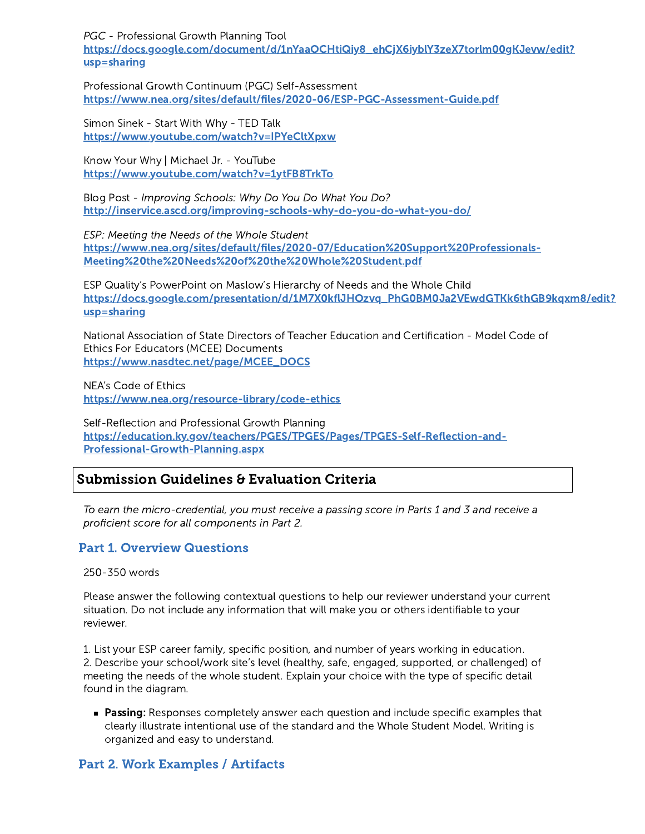PGC - Professional Growth Planning Tool [https://docs.google.com/document/d/1nYaaOCHtiQiy8\\_ehCjX6iyblY3zeX7torlm00gKJevw/edit?](https://docs.google.com/document/d/1nYaaOCHtiQiy8_ehCjX6iyblY3zeX7torlm00gKJevw/edit?usp=sharing) usp=sharing

Professional Growth Continuum (PGC) Self-Assessment <https://www.nea.org/sites/default/files/2020-06/ESP-PGC-Assessment-Guide.pdf>

Simon Sinek - Start With Why - TED Talk <https://www.youtube.com/watch?v=IPYeCltXpxw>

Know Your Why | Michael Jr. - YouTube <https://www.youtube.com/watch?v=1ytFB8TrkTo>

Blog Post - Improving Schools: Why Do You Do What You Do? <http://inservice.ascd.org/improving-schools-why-do-you-do-what-you-do/>

ESP: Meeting the Needs of the Whole Student [https://www.nea.org/sites/default/files/2020-07/Education%20Support%20Professionals-](https://www.nea.org/sites/default/files/2020-07/Education%20Support%20Professionals-Meeting%20the%20Needs%20of%20the%20Whole%20Student.pdf)Meeting%20the%20Needs%20of%20the%20Whole%20Student.pdf

ESP Quality's PowerPoint on Maslow's Hierarchy of Needs and the Whole Child [https://docs.google.com/presentation/d/1M7X0kflJHOzvq\\_PhG0BM0Ja2VEwdGTKk6thGB9kqxm8/edit?](https://docs.google.com/presentation/d/1M7X0kflJHOzvq_PhG0BM0Ja2VEwdGTKk6thGB9kqxm8/edit?usp=sharing) usp=sharing

National Association of State Directors of Teacher Education and Certification - Model Code of Ethics For Educators (MCEE) Documents [https://www.nasdtec.net/page/MCEE\\_DOCS](https://www.nasdtec.net/page/MCEE_DOCS)

NEA's Code of Ethics <https://www.nea.org/resource-library/code-ethics>

Self-Reflection and Professional Growth Planning [https://education.ky.gov/teachers/PGES/TPGES/Pages/TPGES-Self-Reflection-and-](https://education.ky.gov/teachers/PGES/TPGES/Pages/TPGES-Self-Reflection-and-Professional-Growth-Planning.aspx)Professional-Growth-Planning.aspx

# Submission Guidelines & Evaluation Criteria

To earn the micro-credential, you must receive a passing score in Parts 1 and 3 and receive a proficient score for all components in Part 2.

# Part 1. Overview Questions

250-350 words

Please answer the following contextual questions to help our reviewer understand your current situation. Do not include any information that will make you or others identifiable to your reviewer.

1. List your ESP career family, specific position, and number of years working in education. 2. Describe your school/work site's level (healthy, safe, engaged, supported, or challenged) of meeting the needs of the whole student. Explain your choice with the type of specific detail found in the diagram.

**Passing:** Responses completely answer each question and include specific examples that clearly illustrate intentional use of the standard and the Whole Student Model. Writing is organized and easy to understand.

# Part 2. Work Examples / Artifacts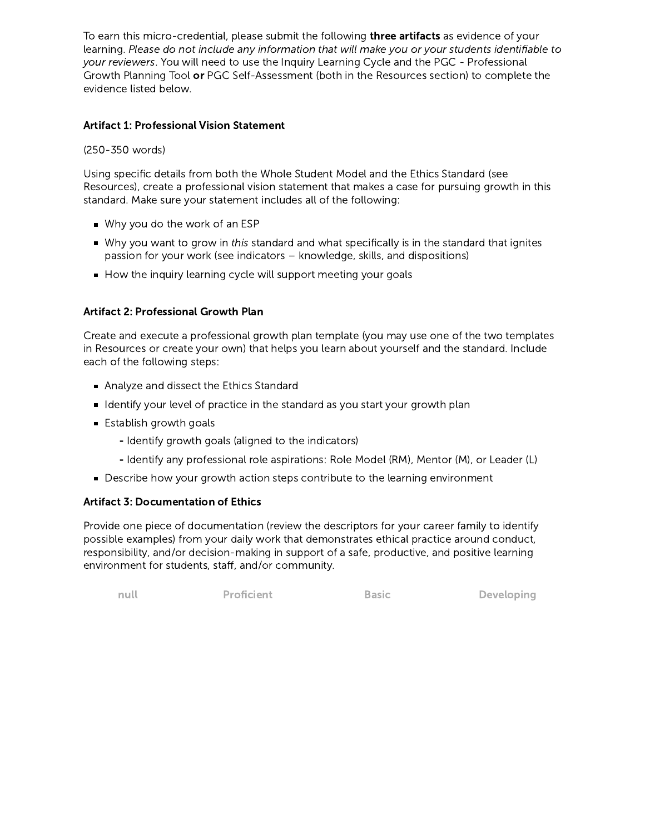To earn this micro-credential, please submit the following **three artifacts** as evidence of your learning. Please do not include any information that will make you or your students identifiable to your reviewers. You will need to use the Inquiry Learning Cycle and the PGC - Professional Growth Planning Tool or PGC Self-Assessment (both in the Resources section) to complete the evidence listed below.

## Artifact 1: Professional Vision Statement

## (250-350 words)

Using specific details from both the Whole Student Model and the Ethics Standard (see Resources), create a professional vision statement that makes a case for pursuing growth in this standard. Make sure your statement includes all of the following:

- Why you do the work of an ESP
- Why you want to grow in this standard and what specifically is in the standard that ignites passion for your work (see indicators – knowledge, skills, and dispositions)
- How the inquiry learning cycle will support meeting your goals

# Artifact 2: Professional Growth Plan

Create and execute a professional growth plan template (you may use one of the two templates in Resources or create your own) that helps you learn about yourself and the standard. Include each of the following steps:

- Analyze and dissect the Ethics Standard
- I ldentify your level of practice in the standard as you start your growth plan
- **Establish growth goals** 
	- Identify growth goals (aligned to the indicators)
	- Identify any professional role aspirations: Role Model (RM), Mentor (M), or Leader (L)
- Describe how your growth action steps contribute to the learning environment

## Artifact 3: Documentation of Ethics

Provide one piece of documentation (review the descriptors for your career family to identify possible examples) from your daily work that demonstrates ethical practice around conduct, responsibility, and/or decision-making in support of a safe, productive, and positive learning environment for students, staff, and/or community.

null **Proficient** Basic **Developing**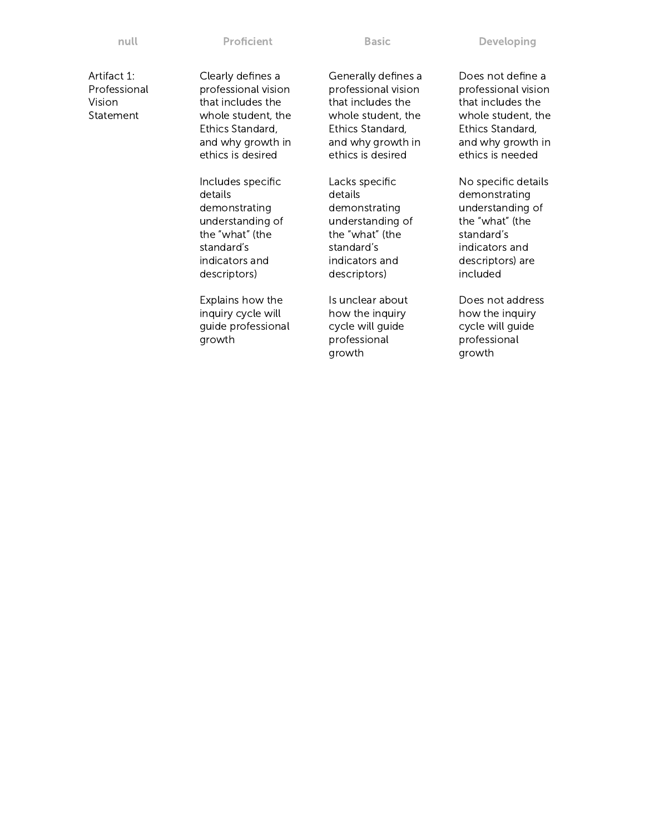Artifact 1: Professional Vision Statement

Clearly defines a professional vision that includes the whole student, the Ethics Standard, and why growth in ethics is desired

Includes specific details demonstrating understanding of the "what" (the standard's indicators and descriptors)

Explains how the inquiry cycle will guide professional growth

Generally defines a professional vision that includes the whole student, the Ethics Standard, and why growth in ethics is desired

Lacks specific details demonstrating understanding of the "what" (the standard's indicators and descriptors)

Is unclear about how the inquiry cycle will guide professional growth

Does not define a professional vision that includes the whole student, the Ethics Standard, and why growth in ethics is needed

No specific details demonstrating understanding of the "what" (the standard's indicators and descriptors) are included

Does not address how the inquiry cycle will guide professional growth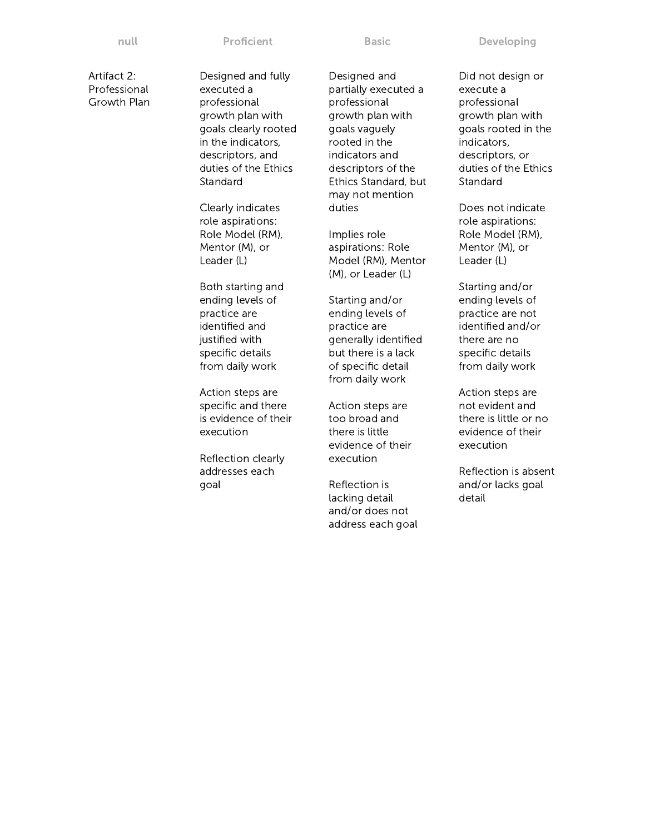Artifact 2: Professional Growth Plan Designed and fully executed a professional growth plan with goals clearly rooted in the indicators, descriptors, and duties of the Ethics **Standard** 

Clearly indicates role aspirations: Role Model (RM), Mentor (M), or Leader (L)

Both starting and ending levels of practice are identified and justified with specific details from daily work

Action steps are specific and there is evidence of their execution

Reflection clearly addresses each goal

Designed and partially executed a professional growth plan with goals vaguely rooted in the indicators and descriptors of the Ethics Standard, but may not mention duties

Implies role aspirations: Role Model (RM), Mentor (M), or Leader (L)

Starting and/or ending levels of practice are generally identified but there is a lack of specific detail from daily work

Action steps are too broad and there is little evidence of their execution

Reflection is lacking detail and/or does not address each goal Did not design or execute a professional growth plan with goals rooted in the indicators, descriptors, or duties of the Ethics Standard

Does not indicate role aspirations: Role Model (RM), Mentor (M), or Leader (L)

Starting and/or ending levels of practice are not identified and/or there are no specific details from daily work

Action steps are not evident and there is little or no evidence of their execution

Reflection is absent and/or lacks goal detail